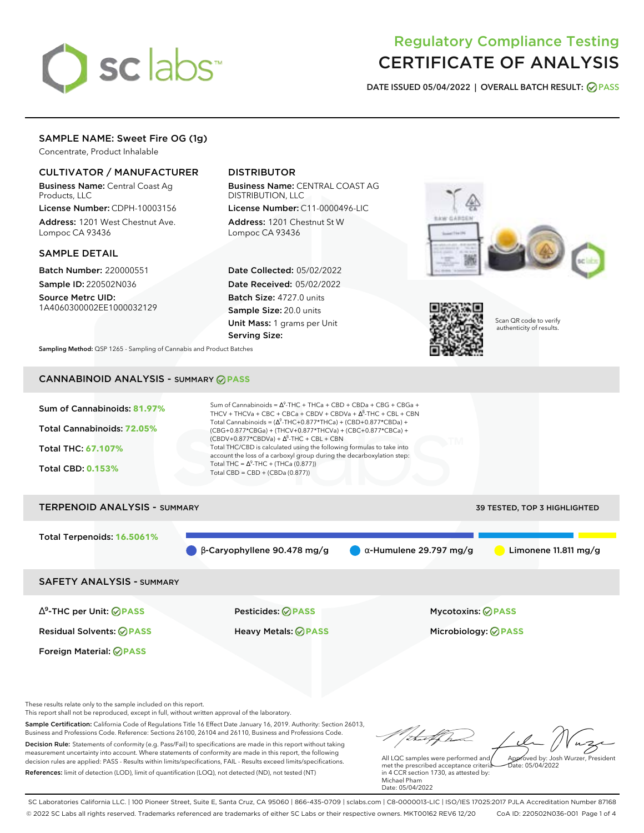

# Regulatory Compliance Testing CERTIFICATE OF ANALYSIS

**DATE ISSUED 05/04/2022 | OVERALL BATCH RESULT: PASS**

## SAMPLE NAME: Sweet Fire OG (1g)

Concentrate, Product Inhalable

## CULTIVATOR / MANUFACTURER

Business Name: Central Coast Ag Products, LLC

License Number: CDPH-10003156 Address: 1201 West Chestnut Ave. Lompoc CA 93436

## SAMPLE DETAIL

Batch Number: 220000551 Sample ID: 220502N036

Source Metrc UID: 1A4060300002EE1000032129

## DISTRIBUTOR

Business Name: CENTRAL COAST AG DISTRIBUTION, LLC License Number: C11-0000496-LIC

Address: 1201 Chestnut St W Lompoc CA 93436

Date Collected: 05/02/2022 Date Received: 05/02/2022 Batch Size: 4727.0 units Sample Size: 20.0 units Unit Mass: 1 grams per Unit Serving Size:





Scan QR code to verify authenticity of results.

**Sampling Method:** QSP 1265 - Sampling of Cannabis and Product Batches

## CANNABINOID ANALYSIS - SUMMARY **PASS**



Residual Solvents: **PASS** Heavy Metals: **PASS** Microbiology: **PASS**

Foreign Material: **PASS**

These results relate only to the sample included on this report.

This report shall not be reproduced, except in full, without written approval of the laboratory.

Sample Certification: California Code of Regulations Title 16 Effect Date January 16, 2019. Authority: Section 26013, Business and Professions Code. Reference: Sections 26100, 26104 and 26110, Business and Professions Code. Decision Rule: Statements of conformity (e.g. Pass/Fail) to specifications are made in this report without taking measurement uncertainty into account. Where statements of conformity are made in this report, the following decision rules are applied: PASS - Results within limits/specifications, FAIL - Results exceed limits/specifications.

References: limit of detection (LOD), limit of quantification (LOQ), not detected (ND), not tested (NT)

tu of h Approved by: Josh Wurzer, President

 $ate: 05/04/2022$ 

All LQC samples were performed and met the prescribed acceptance criteria in 4 CCR section 1730, as attested by: Michael Pham Date: 05/04/2022

SC Laboratories California LLC. | 100 Pioneer Street, Suite E, Santa Cruz, CA 95060 | 866-435-0709 | sclabs.com | C8-0000013-LIC | ISO/IES 17025:2017 PJLA Accreditation Number 87168 © 2022 SC Labs all rights reserved. Trademarks referenced are trademarks of either SC Labs or their respective owners. MKT00162 REV6 12/20 CoA ID: 220502N036-001 Page 1 of 4